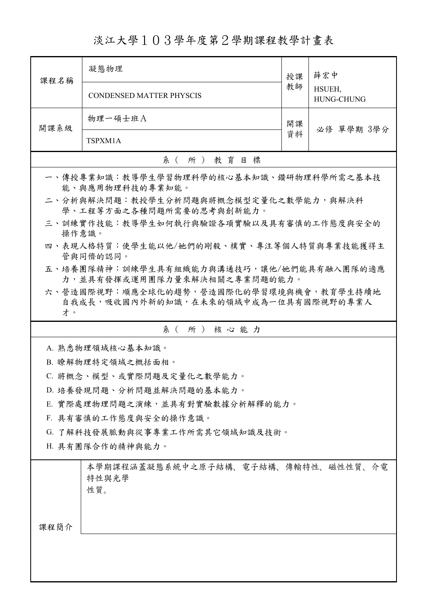淡江大學103學年度第2學期課程教學計畫表

| 課程名稱                                                                                  | 凝態物理                                                                     | 授課 | 薛宏中<br>HSUEH,<br><b>HUNG-CHUNG</b> |  |  |
|---------------------------------------------------------------------------------------|--------------------------------------------------------------------------|----|------------------------------------|--|--|
|                                                                                       | <b>CONDENSED MATTER PHYSCIS</b>                                          | 教師 |                                    |  |  |
| 開課系級                                                                                  | 物理一碩士班A                                                                  | 開課 | 必修 單學期 3學分                         |  |  |
|                                                                                       | TSPXM1A                                                                  | 資料 |                                    |  |  |
|                                                                                       | 系(所)教育目標                                                                 |    |                                    |  |  |
|                                                                                       | 一、傳授專業知識:教導學生學習物理科學的核心基本知識、鑽研物理科學所需之基本技<br>能、與應用物理科技的專業知能。               |    |                                    |  |  |
|                                                                                       | 二、分析與解決問題:教授學生分析問題與將概念模型定量化之數學能力,與解決科<br>學、工程等方面之各種問題所需要的思考與創新能力。        |    |                                    |  |  |
| 操作意識。                                                                                 | 三、訓練實作技能:教導學生如何執行與驗證各項實驗以及具有審慎的工作態度與安全的                                  |    |                                    |  |  |
| 四、表現人格特質:使學生能以他/她們的剛毅、樸實、專注等個人特質與專業技能獲得主<br>管與同儕的認同。                                  |                                                                          |    |                                    |  |  |
|                                                                                       | 五、培養團隊精神:訓練學生具有組織能力與溝通技巧,讓他/她們能具有融入團隊的適應<br>力,並具有發揮或運用團隊力量來解決相關之專業問題的能力。 |    |                                    |  |  |
| 六、營造國際視野︰順應全球化的趨勢,營造國際化的學習環境與機會,教育學生持續地<br>自我成長,吸收國內外新的知識,在未來的領域中成為一位具有國際視野的專業人<br>才。 |                                                                          |    |                                    |  |  |
|                                                                                       | 系(所)核心能力                                                                 |    |                                    |  |  |
|                                                                                       | A. 熟悉物理領域核心基本知識。                                                         |    |                                    |  |  |
|                                                                                       | B. 瞭解物理特定領域之概括面相。                                                        |    |                                    |  |  |
|                                                                                       | C. 將概念、模型、或實際問題及定量化之數學能力。                                                |    |                                    |  |  |
|                                                                                       | D. 培養發現問題、分析問題並解決問題的基本能力。                                                |    |                                    |  |  |
|                                                                                       | E. 實際處理物理問題之演練,並具有對實驗數據分析解釋的能力。                                          |    |                                    |  |  |
|                                                                                       | F. 具有審慎的工作態度與安全的操作意識。                                                    |    |                                    |  |  |
| G. 了解科技發展脈動與從事專業工作所需其它領域知識及技術。                                                        |                                                                          |    |                                    |  |  |
| H. 具有團隊合作的精神與能力。                                                                      |                                                                          |    |                                    |  |  |
|                                                                                       | 本學期課程涵蓋凝態系統中之原子結構、電子結構、傳輸特性、磁性性質、介電<br>特性與光學<br>性質。                      |    |                                    |  |  |
| 課程簡介                                                                                  |                                                                          |    |                                    |  |  |
|                                                                                       |                                                                          |    |                                    |  |  |
|                                                                                       |                                                                          |    |                                    |  |  |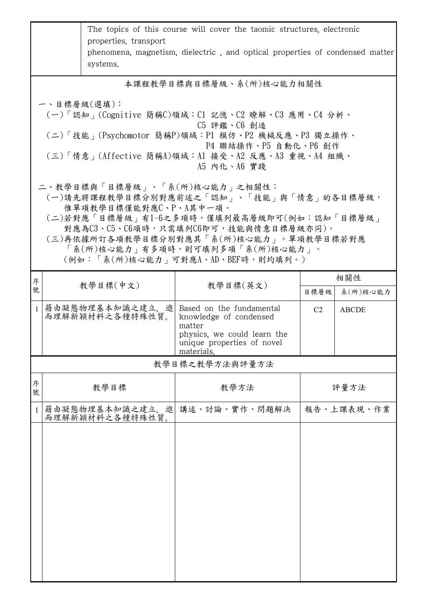|                                                                                                                                                                                                                                                                                                                | The topics of this course will cover the taomic structures, electronic<br>properties, transport<br>phenomena, magnetism, dielectric, and optical properties of condensed matter<br>systems.                                                   |                                    |                                                                                                                                         |                |              |  |  |
|----------------------------------------------------------------------------------------------------------------------------------------------------------------------------------------------------------------------------------------------------------------------------------------------------------------|-----------------------------------------------------------------------------------------------------------------------------------------------------------------------------------------------------------------------------------------------|------------------------------------|-----------------------------------------------------------------------------------------------------------------------------------------|----------------|--------------|--|--|
|                                                                                                                                                                                                                                                                                                                | 本課程教學目標與目標層級、系(所)核心能力相關性                                                                                                                                                                                                                      |                                    |                                                                                                                                         |                |              |  |  |
|                                                                                                                                                                                                                                                                                                                | 一、目標層級(選填):<br>(一)「認知」(Cognitive 簡稱C)領域:C1 記憶、C2 瞭解、C3 應用、C4 分析、<br>C5 評鑑、C6 創造<br>(二)「技能 <sub>」</sub> (Psychomotor 簡稱P)領域:P1 模仿、P2 機械反應、P3 獨立操作、<br>P4 聯結操作、P5 自動化、P6 創作<br>(三)「情意」(Affective 簡稱A)領域:A1 接受、A2 反應、A3 重視、A4 組織、<br>A5 内化、A6 實踐 |                                    |                                                                                                                                         |                |              |  |  |
| 二、教學目標與「目標層級」、「系(所)核心能力」之相關性:<br>(一)請先將課程教學目標分別對應前述之「認知」、「技能」與「情意」的各目標層級,<br>惟單項教學目標僅能對應C、P、A其中一項。<br>(二)若對應「目標層級」有1~6之多項時,僅填列最高層級即可(例如:認知「目標層級」<br>對應為C3、C5、C6項時,只需填列C6即可,技能與情意目標層級亦同)。<br>(三)再依據所訂各項教學目標分別對應其「系(所)核心能力」。單項教學目標若對應<br>「系(所)核心能力」有多項時,則可填列多項「系(所)核心能力」。<br>(例如:「系(所)核心能力   可對應A、AD、BEF時,則均填列。) |                                                                                                                                                                                                                                               |                                    |                                                                                                                                         |                |              |  |  |
| 序                                                                                                                                                                                                                                                                                                              |                                                                                                                                                                                                                                               | 教學目標(中文)                           | 教學目標(英文)                                                                                                                                |                | 相關性          |  |  |
| 號                                                                                                                                                                                                                                                                                                              |                                                                                                                                                                                                                                               |                                    |                                                                                                                                         | 目標層級           | 系(所)核心能力     |  |  |
| $\mathbf{1}$                                                                                                                                                                                                                                                                                                   |                                                                                                                                                                                                                                               | 藉由凝態物理基本知識之建立,進<br>而理解新穎材料之各種特殊性質。 | Based on the fundamental<br>knowledge of condensed<br>matter<br>physics, we could learn the<br>unique properties of novel<br>materials. | C <sub>2</sub> | <b>ABCDE</b> |  |  |
|                                                                                                                                                                                                                                                                                                                |                                                                                                                                                                                                                                               |                                    | 教學目標之教學方法與評量方法                                                                                                                          |                |              |  |  |
| 序<br>號                                                                                                                                                                                                                                                                                                         |                                                                                                                                                                                                                                               | 教學目標                               | 教學方法                                                                                                                                    |                | 評量方法         |  |  |
| 1                                                                                                                                                                                                                                                                                                              |                                                                                                                                                                                                                                               | 藉由凝態物理基本知識之建立,進<br>而理解新穎材料之各種特殊性質。 | 講述、討論、實作、問題解決                                                                                                                           |                | 報告、上課表現、作業   |  |  |
|                                                                                                                                                                                                                                                                                                                |                                                                                                                                                                                                                                               |                                    |                                                                                                                                         |                |              |  |  |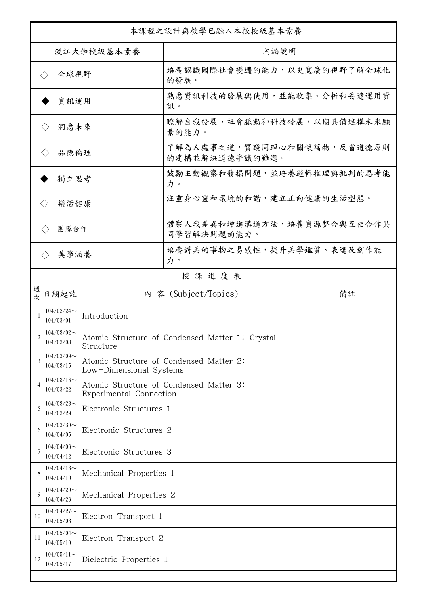| 本課程之設計與教學已融入本校校級基本素養         |                               |                                                                    |                                                 |    |  |
|------------------------------|-------------------------------|--------------------------------------------------------------------|-------------------------------------------------|----|--|
| 淡江大學校級基本素養                   |                               |                                                                    | 內涵說明                                            |    |  |
| 全球視野<br>$\langle \ \rangle$  |                               |                                                                    | 培養認識國際社會變遷的能力,以更寬廣的視野了解全球化<br>的發展。              |    |  |
| 資訊運用                         |                               |                                                                    | 熟悉資訊科技的發展與使用,並能收集、分析和妥適運用資<br>訊。                |    |  |
| 洞悉未來<br>$\langle \ \rangle$  |                               |                                                                    | 瞭解自我發展、社會脈動和科技發展,以期具備建構未來願<br>景的能力。             |    |  |
| 品德倫理<br>$\langle \ \rangle$  |                               |                                                                    | 了解為人處事之道,實踐同理心和關懷萬物,反省道德原則<br>的建構並解決道德爭議的難題。    |    |  |
| 獨立思考                         |                               |                                                                    | 鼓勵主動觀察和發掘問題,並培養邏輯推理與批判的思考能<br>力。                |    |  |
| 樂活健康<br>$\langle \, \rangle$ |                               |                                                                    | 注重身心靈和環境的和諧,建立正向健康的生活型態。                        |    |  |
| 團隊合作<br>$\langle \rangle$    |                               |                                                                    | 體察人我差異和增進溝通方法,培養資源整合與互相合作共<br>同學習解決問題的能力。       |    |  |
|                              | 美學涵養<br>$\langle \rangle$     |                                                                    | 培養對美的事物之易感性,提升美學鑑賞、表達及創作能<br>力。                 |    |  |
|                              |                               |                                                                    | 授課進度表                                           |    |  |
| 週<br>欤                       | 日期起訖                          |                                                                    | 內 容 (Subject/Topics)                            | 備註 |  |
| 1                            | $104/02/24$ ~<br>104/03/01    | Introduction                                                       |                                                 |    |  |
| 2                            | $104/03/02$ ~<br>104/03/08    | Structure                                                          | Atomic Structure of Condensed Matter 1: Crystal |    |  |
| 3                            | $104/03/09$ ~<br>104/03/15    | Low-Dimensional Systems                                            | Atomic Structure of Condensed Matter 2:         |    |  |
| 4                            | $104/03/16$ ~<br>104/03/22    | Atomic Structure of Condensed Matter 3:<br>Experimental Connection |                                                 |    |  |
| 5                            | $104/03/23$ ~<br>104/03/29    | Electronic Structures 1                                            |                                                 |    |  |
| 6                            | $104/03/30$ ~<br>104/04/05    | Electronic Structures 2                                            |                                                 |    |  |
| 7                            | $104/04/06 \sim$<br>104/04/12 | Electronic Structures 3                                            |                                                 |    |  |
| 8                            | $104/04/13$ ~<br>104/04/19    | Mechanical Properties 1                                            |                                                 |    |  |
| 9                            | $104/04/20$ ~<br>104/04/26    | Mechanical Properties 2                                            |                                                 |    |  |
| 10                           | $104/04/27$ ~<br>104/05/03    | Electron Transport 1                                               |                                                 |    |  |
| 11                           | $104/05/04$ ~<br>104/05/10    | Electron Transport 2                                               |                                                 |    |  |
| 12                           | $104/05/11$ ~<br>104/05/17    | Dielectric Properties 1                                            |                                                 |    |  |